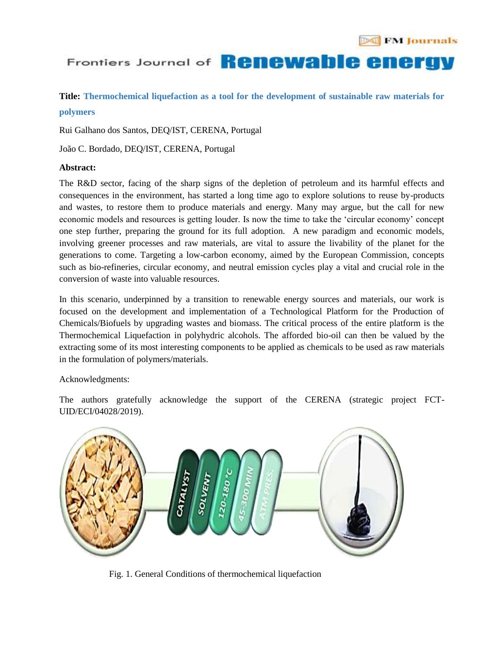# Frontiers Journal of **Renewable energy**

## **Title: Thermochemical liquefaction as a tool for the development of sustainable raw materials for polymers**

Rui Galhano dos Santos, DEQ/IST, CERENA, Portugal

João C. Bordado, DEQ/IST, CERENA, Portugal

### **Abstract:**

The R&D sector, facing of the sharp signs of the depletion of petroleum and its harmful effects and consequences in the environment, has started a long time ago to explore solutions to reuse by-products and wastes, to restore them to produce materials and energy. Many may argue, but the call for new economic models and resources is getting louder. Is now the time to take the "circular economy" concept one step further, preparing the ground for its full adoption. A new paradigm and economic models, involving greener processes and raw materials, are vital to assure the livability of the planet for the generations to come. Targeting a low-carbon economy, aimed by the European Commission, concepts such as bio-refineries, circular economy, and neutral emission cycles play a vital and crucial role in the conversion of waste into valuable resources.

In this scenario, underpinned by a transition to renewable energy sources and materials, our work is focused on the development and implementation of a Technological Platform for the Production of Chemicals/Biofuels by upgrading wastes and biomass. The critical process of the entire platform is the Thermochemical Liquefaction in polyhydric alcohols. The afforded bio-oil can then be valued by the extracting some of its most interesting components to be applied as chemicals to be used as raw materials in the formulation of polymers/materials.

#### Acknowledgments:

The authors gratefully acknowledge the support of the CERENA (strategic project FCT-UID/ECI/04028/2019).



Fig. 1. General Conditions of thermochemical liquefaction